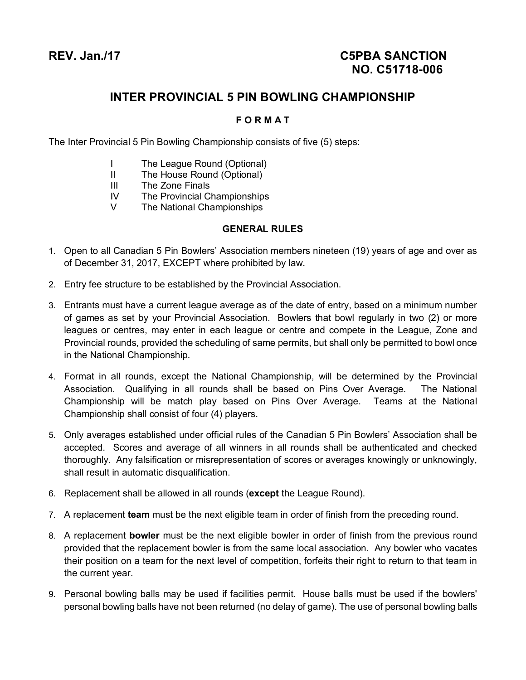# **INTER PROVINCIAL 5 PIN BOWLING CHAMPIONSHIP**

### **F O R M A T**

The Inter Provincial 5 Pin Bowling Championship consists of five (5) steps:

- I The League Round (Optional)
- II The House Round (Optional)
- III The Zone Finals
- IV The Provincial Championships
- V The National Championships

#### **GENERAL RULES**

- 1. Open to all Canadian 5 Pin Bowlers' Association members nineteen (19) years of age and over as of December 31, 2017, EXCEPT where prohibited by law.
- 2. Entry fee structure to be established by the Provincial Association.
- 3. Entrants must have a current league average as of the date of entry, based on a minimum number of games as set by your Provincial Association. Bowlers that bowl regularly in two (2) or more leagues or centres, may enter in each league or centre and compete in the League, Zone and Provincial rounds, provided the scheduling of same permits, but shall only be permitted to bowl once in the National Championship.
- 4. Format in all rounds, except the National Championship, will be determined by the Provincial Association. Qualifying in all rounds shall be based on Pins Over Average. The National Championship will be match play based on Pins Over Average. Teams at the National Championship shall consist of four (4) players.
- 5. Only averages established under official rules of the Canadian 5 Pin Bowlers' Association shall be accepted. Scores and average of all winners in all rounds shall be authenticated and checked thoroughly. Any falsification or misrepresentation of scores or averages knowingly or unknowingly, shall result in automatic disqualification.
- 6. Replacement shall be allowed in all rounds (**except** the League Round).
- 7. A replacement **team** must be the next eligible team in order of finish from the preceding round.
- 8. A replacement **bowler** must be the next eligible bowler in order of finish from the previous round provided that the replacement bowler is from the same local association. Any bowler who vacates their position on a team for the next level of competition, forfeits their right to return to that team in the current year.
- 9. Personal bowling balls may be used if facilities permit. House balls must be used if the bowlers' personal bowling balls have not been returned (no delay of game). The use of personal bowling balls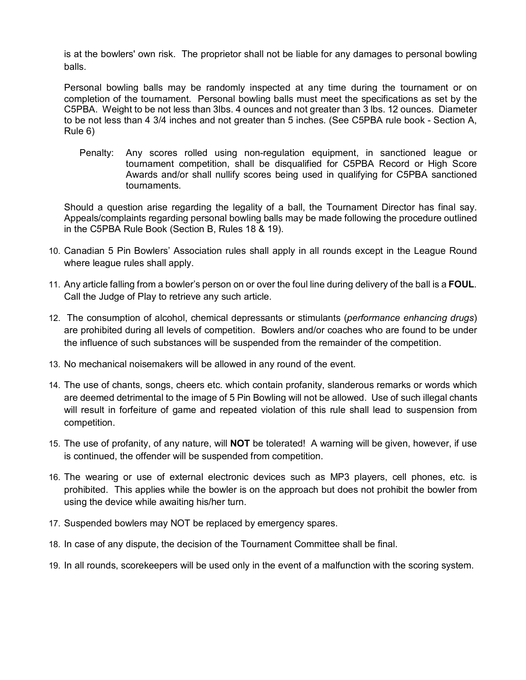is at the bowlers' own risk. The proprietor shall not be liable for any damages to personal bowling balls.

Personal bowling balls may be randomly inspected at any time during the tournament or on completion of the tournament. Personal bowling balls must meet the specifications as set by the C5PBA. Weight to be not less than 3lbs. 4 ounces and not greater than 3 lbs. 12 ounces. Diameter to be not less than 4 3/4 inches and not greater than 5 inches. (See C5PBA rule book - Section A, Rule 6)

Penalty: Any scores rolled using non-regulation equipment, in sanctioned league or tournament competition, shall be disqualified for C5PBA Record or High Score Awards and/or shall nullify scores being used in qualifying for C5PBA sanctioned tournaments.

Should a question arise regarding the legality of a ball, the Tournament Director has final say. Appeals/complaints regarding personal bowling balls may be made following the procedure outlined in the C5PBA Rule Book (Section B, Rules 18 & 19).

- 10. Canadian 5 Pin Bowlers' Association rules shall apply in all rounds except in the League Round where league rules shall apply.
- 11. Any article falling from a bowler's person on or over the foul line during delivery of the ball is a **FOUL**. Call the Judge of Play to retrieve any such article.
- 12. The consumption of alcohol, chemical depressants or stimulants (*performance enhancing drugs*) are prohibited during all levels of competition. Bowlers and/or coaches who are found to be under the influence of such substances will be suspended from the remainder of the competition.
- 13. No mechanical noisemakers will be allowed in any round of the event.
- 14. The use of chants, songs, cheers etc. which contain profanity, slanderous remarks or words which are deemed detrimental to the image of 5 Pin Bowling will not be allowed. Use of such illegal chants will result in forfeiture of game and repeated violation of this rule shall lead to suspension from competition.
- 15. The use of profanity, of any nature, will **NOT** be tolerated! A warning will be given, however, if use is continued, the offender will be suspended from competition.
- 16. The wearing or use of external electronic devices such as MP3 players, cell phones, etc. is prohibited. This applies while the bowler is on the approach but does not prohibit the bowler from using the device while awaiting his/her turn.
- 17. Suspended bowlers may NOT be replaced by emergency spares.
- 18. In case of any dispute, the decision of the Tournament Committee shall be final.
- 19. In all rounds, scorekeepers will be used only in the event of a malfunction with the scoring system.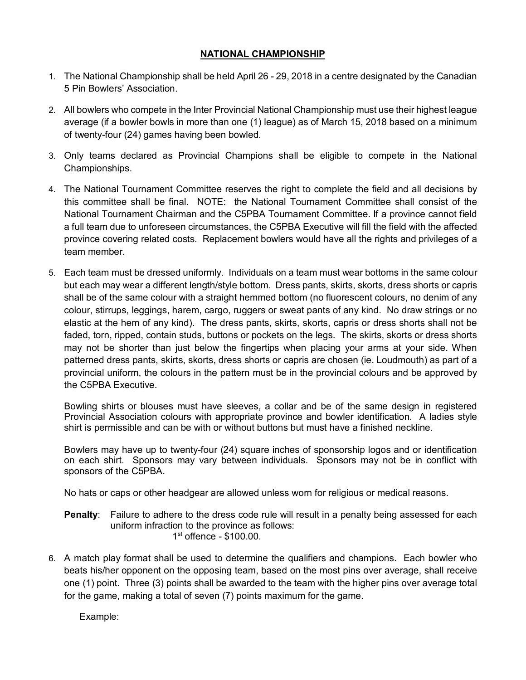#### **NATIONAL CHAMPIONSHIP**

- 1. The National Championship shall be held April 26 29, 2018 in a centre designated by the Canadian 5 Pin Bowlers' Association.
- 2. All bowlers who compete in the Inter Provincial National Championship must use their highest league average (if a bowler bowls in more than one (1) league) as of March 15, 2018 based on a minimum of twenty-four (24) games having been bowled.
- 3. Only teams declared as Provincial Champions shall be eligible to compete in the National Championships.
- 4. The National Tournament Committee reserves the right to complete the field and all decisions by this committee shall be final. NOTE: the National Tournament Committee shall consist of the National Tournament Chairman and the C5PBA Tournament Committee. If a province cannot field a full team due to unforeseen circumstances, the C5PBA Executive will fill the field with the affected province covering related costs. Replacement bowlers would have all the rights and privileges of a team member.
- 5. Each team must be dressed uniformly. Individuals on a team must wear bottoms in the same colour but each may wear a different length/style bottom. Dress pants, skirts, skorts, dress shorts or capris shall be of the same colour with a straight hemmed bottom (no fluorescent colours, no denim of any colour, stirrups, leggings, harem, cargo, ruggers or sweat pants of any kind. No draw strings or no elastic at the hem of any kind). The dress pants, skirts, skorts, capris or dress shorts shall not be faded, torn, ripped, contain studs, buttons or pockets on the legs. The skirts, skorts or dress shorts may not be shorter than just below the fingertips when placing your arms at your side. When patterned dress pants, skirts, skorts, dress shorts or capris are chosen (ie. Loudmouth) as part of a provincial uniform, the colours in the pattern must be in the provincial colours and be approved by the C5PBA Executive.

Bowling shirts or blouses must have sleeves, a collar and be of the same design in registered Provincial Association colours with appropriate province and bowler identification. A ladies style shirt is permissible and can be with or without buttons but must have a finished neckline.

Bowlers may have up to twenty-four (24) square inches of sponsorship logos and or identification on each shirt. Sponsors may vary between individuals. Sponsors may not be in conflict with sponsors of the C5PBA.

No hats or caps or other headgear are allowed unless worn for religious or medical reasons.

- **Penalty**: Failure to adhere to the dress code rule will result in a penalty being assessed for each uniform infraction to the province as follows: 1 st offence - \$100.00.
- 6. A match play format shall be used to determine the qualifiers and champions. Each bowler who beats his/her opponent on the opposing team, based on the most pins over average, shall receive one (1) point. Three (3) points shall be awarded to the team with the higher pins over average total for the game, making a total of seven (7) points maximum for the game.

Example: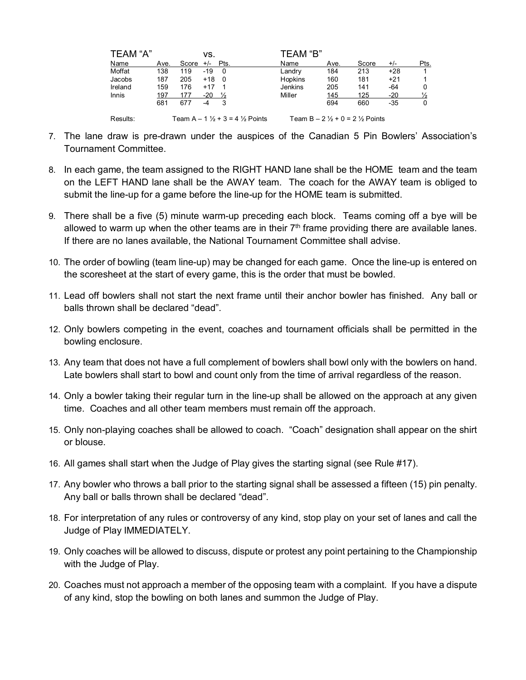| TEAM "A" |                               |                  | VS.               |   | TEAM "B"       |                                                     |       |       |      |  |
|----------|-------------------------------|------------------|-------------------|---|----------------|-----------------------------------------------------|-------|-------|------|--|
| Name     | Ave.                          | Score $+/-$ Pts. |                   |   | Name           | Ave.                                                | Score | $+/-$ | Pts. |  |
| Moffat   | 138                           | 119              | $-19$             | 0 | Landry         | 184                                                 | 213   | $+28$ |      |  |
| Jacobs   | 187                           | 205              | $+18$ 0           |   | <b>Hopkins</b> | 160                                                 | 181   | $+21$ |      |  |
| Ireland  | 159                           | 176              | $+17$ 1           |   | Jenkins        | 205                                                 | 141   | -64   | 0    |  |
| Innis    | 197                           | 177              | $-20 \frac{1}{2}$ |   | Miller         | 145                                                 | 125   | $-20$ |      |  |
|          | 681                           | 677              |                   | 3 |                | 694                                                 | 660   | -35   | 0    |  |
| Results: | Team A – 1 ½ + 3 = 4 ½ Points |                  |                   |   |                | Team B $- 2 \frac{1}{2} + 0 = 2 \frac{1}{2}$ Points |       |       |      |  |

- 7. The lane draw is pre-drawn under the auspices of the Canadian 5 Pin Bowlers' Association's Tournament Committee.
- 8. In each game, the team assigned to the RIGHT HAND lane shall be the HOME team and the team on the LEFT HAND lane shall be the AWAY team. The coach for the AWAY team is obliged to submit the line-up for a game before the line-up for the HOME team is submitted.
- 9. There shall be a five (5) minute warm-up preceding each block. Teams coming off a bye will be allowed to warm up when the other teams are in their  $7<sup>th</sup>$  frame providing there are available lanes. If there are no lanes available, the National Tournament Committee shall advise.
- 10. The order of bowling (team line-up) may be changed for each game. Once the line-up is entered on the scoresheet at the start of every game, this is the order that must be bowled.
- 11. Lead off bowlers shall not start the next frame until their anchor bowler has finished. Any ball or balls thrown shall be declared "dead".
- 12. Only bowlers competing in the event, coaches and tournament officials shall be permitted in the bowling enclosure.
- 13. Any team that does not have a full complement of bowlers shall bowl only with the bowlers on hand. Late bowlers shall start to bowl and count only from the time of arrival regardless of the reason.
- 14. Only a bowler taking their regular turn in the line-up shall be allowed on the approach at any given time. Coaches and all other team members must remain off the approach.
- 15. Only non-playing coaches shall be allowed to coach. "Coach" designation shall appear on the shirt or blouse.
- 16. All games shall start when the Judge of Play gives the starting signal (see Rule #17).
- 17. Any bowler who throws a ball prior to the starting signal shall be assessed a fifteen (15) pin penalty. Any ball or balls thrown shall be declared "dead".
- 18. For interpretation of any rules or controversy of any kind, stop play on your set of lanes and call the Judge of Play IMMEDIATELY.
- 19. Only coaches will be allowed to discuss, dispute or protest any point pertaining to the Championship with the Judge of Play.
- 20. Coaches must not approach a member of the opposing team with a complaint. If you have a dispute of any kind, stop the bowling on both lanes and summon the Judge of Play.